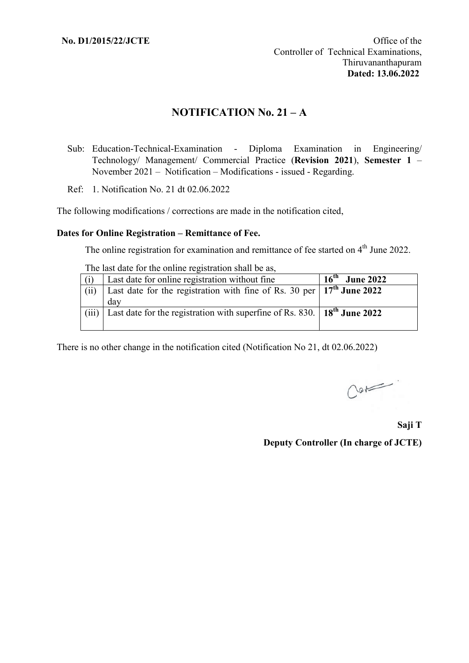# **NOTIFICATION No. 21 – A**

- Sub: Education-Technical-Examination Diploma Examination in Engineering/ Technology/ Management/ Commercial Practice (**Revision 2021**), **Semester 1** – November 2021 – Notification – Modifications - issued - Regarding.
- Ref: 1. Notification No. 21 dt 02.06.2022

The following modifications / corrections are made in the notification cited,

#### **Dates for Online Registration – Remittance of Fee.**

The online registration for examination and remittance of fee started on 4<sup>th</sup> June 2022.

The last date for the online registration shall be as

| (i)   | Last date for online registration without fine                                              | $16^{\text{th}}$<br><b>June 2022</b> |
|-------|---------------------------------------------------------------------------------------------|--------------------------------------|
| (ii)  | Last date for the registration with fine of Rs. 30 per $\vert 17^{th}$ June 2022            |                                      |
|       | dav                                                                                         |                                      |
| (iii) | Last date for the registration with superfine of Rs. 830. $\mid$ 18 <sup>th</sup> June 2022 |                                      |
|       |                                                                                             |                                      |

There is no other change in the notification cited (Notification No 21, dt 02.06.2022)

 $C$ or

**Saji T Deputy Controller (In charge of JCTE)**